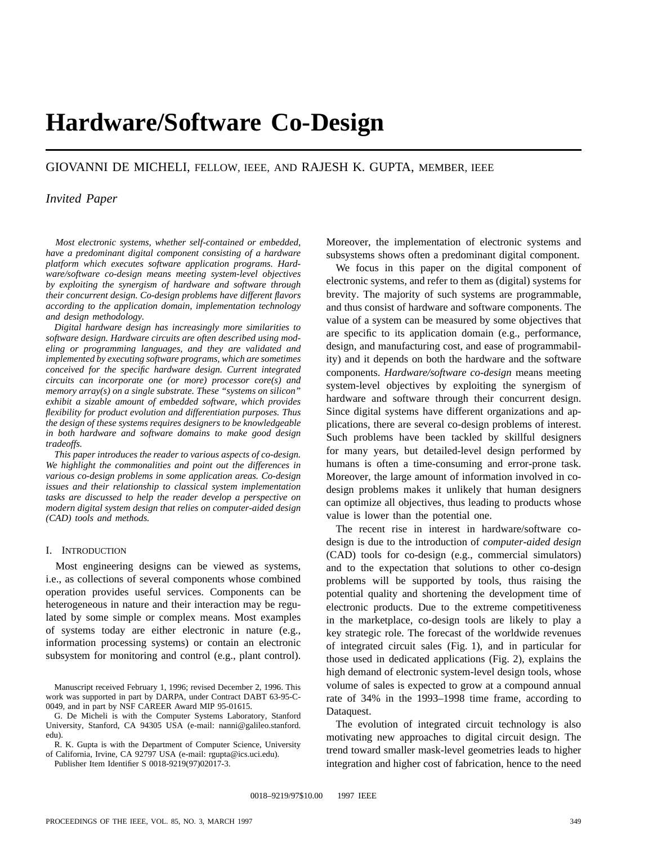# **Hardware/Software Co-Design**

## GIOVANNI DE MICHELI, FELLOW, IEEE, AND RAJESH K. GUPTA, MEMBER, IEEE

## *Invited Paper*

*Most electronic systems, whether self-contained or embedded, have a predominant digital component consisting of a hardware platform which executes software application programs. Hardware/software co-design means meeting system-level objectives by exploiting the synergism of hardware and software through their concurrent design. Co-design problems have different flavors according to the application domain, implementation technology and design methodology.*

*Digital hardware design has increasingly more similarities to software design. Hardware circuits are often described using modeling or programming languages, and they are validated and implemented by executing software programs, which are sometimes conceived for the specific hardware design. Current integrated circuits can incorporate one (or more) processor core(s) and memory array(s) on a single substrate. These "systems on silicon" exhibit a sizable amount of embedded software, which provides flexibility for product evolution and differentiation purposes. Thus the design of these systems requires designers to be knowledgeable in both hardware and software domains to make good design tradeoffs.*

*This paper introduces the reader to various aspects of co-design. We highlight the commonalities and point out the differences in various co-design problems in some application areas. Co-design issues and their relationship to classical system implementation tasks are discussed to help the reader develop a perspective on modern digital system design that relies on computer-aided design (CAD) tools and methods.*

#### I. INTRODUCTION

Most engineering designs can be viewed as systems, i.e., as collections of several components whose combined operation provides useful services. Components can be heterogeneous in nature and their interaction may be regulated by some simple or complex means. Most examples of systems today are either electronic in nature (e.g., information processing systems) or contain an electronic subsystem for monitoring and control (e.g., plant control).

Manuscript received February 1, 1996; revised December 2, 1996. This work was supported in part by DARPA, under Contract DABT 63-95-C-0049, and in part by NSF CAREER Award MIP 95-01615.

R. K. Gupta is with the Department of Computer Science, University of California, Irvine, CA 92797 USA (e-mail: rgupta@ics.uci.edu).

Publisher Item Identifier S 0018-9219(97)02017-3.

Moreover, the implementation of electronic systems and subsystems shows often a predominant digital component.

We focus in this paper on the digital component of electronic systems, and refer to them as (digital) systems for brevity. The majority of such systems are programmable, and thus consist of hardware and software components. The value of a system can be measured by some objectives that are specific to its application domain (e.g., performance, design, and manufacturing cost, and ease of programmability) and it depends on both the hardware and the software components. *Hardware/software co-design* means meeting system-level objectives by exploiting the synergism of hardware and software through their concurrent design. Since digital systems have different organizations and applications, there are several co-design problems of interest. Such problems have been tackled by skillful designers for many years, but detailed-level design performed by humans is often a time-consuming and error-prone task. Moreover, the large amount of information involved in codesign problems makes it unlikely that human designers can optimize all objectives, thus leading to products whose value is lower than the potential one.

The recent rise in interest in hardware/software codesign is due to the introduction of *computer-aided design* (CAD) tools for co-design (e.g., commercial simulators) and to the expectation that solutions to other co-design problems will be supported by tools, thus raising the potential quality and shortening the development time of electronic products. Due to the extreme competitiveness in the marketplace, co-design tools are likely to play a key strategic role. The forecast of the worldwide revenues of integrated circuit sales (Fig. 1), and in particular for those used in dedicated applications (Fig. 2), explains the high demand of electronic system-level design tools, whose volume of sales is expected to grow at a compound annual rate of 34% in the 1993–1998 time frame, according to Dataquest.

The evolution of integrated circuit technology is also motivating new approaches to digital circuit design. The trend toward smaller mask-level geometries leads to higher integration and higher cost of fabrication, hence to the need

G. De Micheli is with the Computer Systems Laboratory, Stanford University, Stanford, CA 94305 USA (e-mail: nanni@galileo.stanford. edu).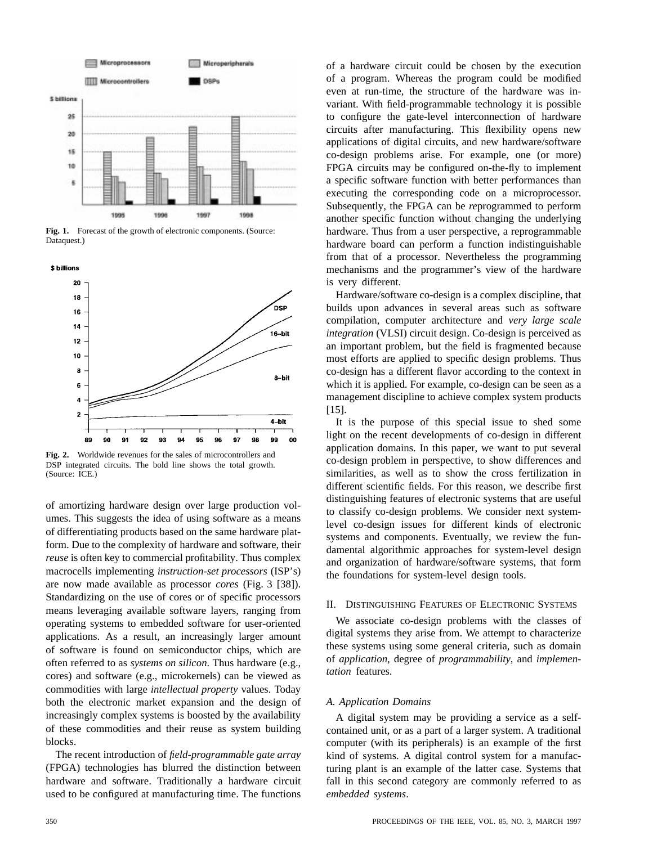

Fig. 1. Forecast of the growth of electronic components. (Source: Dataquest.)

\$ billions



**Fig. 2.** Worldwide revenues for the sales of microcontrollers and DSP integrated circuits. The bold line shows the total growth. (Source: ICE.)

of amortizing hardware design over large production volumes. This suggests the idea of using software as a means of differentiating products based on the same hardware platform. Due to the complexity of hardware and software, their *reuse* is often key to commercial profitability. Thus complex macrocells implementing *instruction-set processors* (ISP's) are now made available as processor *cores* (Fig. 3 [38]). Standardizing on the use of cores or of specific processors means leveraging available software layers, ranging from operating systems to embedded software for user-oriented applications. As a result, an increasingly larger amount of software is found on semiconductor chips, which are often referred to as *systems on silicon*. Thus hardware (e.g., cores) and software (e.g., microkernels) can be viewed as commodities with large *intellectual property* values. Today both the electronic market expansion and the design of increasingly complex systems is boosted by the availability of these commodities and their reuse as system building blocks.

The recent introduction of *field-programmable gate array* (FPGA) technologies has blurred the distinction between hardware and software. Traditionally a hardware circuit used to be configured at manufacturing time. The functions of a hardware circuit could be chosen by the execution of a program. Whereas the program could be modified even at run-time, the structure of the hardware was invariant. With field-programmable technology it is possible to configure the gate-level interconnection of hardware circuits after manufacturing. This flexibility opens new applications of digital circuits, and new hardware/software co-design problems arise. For example, one (or more) FPGA circuits may be configured on-the-fly to implement a specific software function with better performances than executing the corresponding code on a microprocessor. Subsequently, the FPGA can be *re*programmed to perform another specific function without changing the underlying hardware. Thus from a user perspective, a reprogrammable hardware board can perform a function indistinguishable from that of a processor. Nevertheless the programming mechanisms and the programmer's view of the hardware is very different.

Hardware/software co-design is a complex discipline, that builds upon advances in several areas such as software compilation, computer architecture and *very large scale integration* (VLSI) circuit design. Co-design is perceived as an important problem, but the field is fragmented because most efforts are applied to specific design problems. Thus co-design has a different flavor according to the context in which it is applied. For example, co-design can be seen as a management discipline to achieve complex system products [15].

It is the purpose of this special issue to shed some light on the recent developments of co-design in different application domains. In this paper, we want to put several co-design problem in perspective, to show differences and similarities, as well as to show the cross fertilization in different scientific fields. For this reason, we describe first distinguishing features of electronic systems that are useful to classify co-design problems. We consider next systemlevel co-design issues for different kinds of electronic systems and components. Eventually, we review the fundamental algorithmic approaches for system-level design and organization of hardware/software systems, that form the foundations for system-level design tools.

#### II. DISTINGUISHING FEATURES OF ELECTRONIC SYSTEMS

We associate co-design problems with the classes of digital systems they arise from. We attempt to characterize these systems using some general criteria, such as domain of *application*, degree of *programmability*, and *implementation* features.

#### *A. Application Domains*

A digital system may be providing a service as a selfcontained unit, or as a part of a larger system. A traditional computer (with its peripherals) is an example of the first kind of systems. A digital control system for a manufacturing plant is an example of the latter case. Systems that fall in this second category are commonly referred to as *embedded systems*.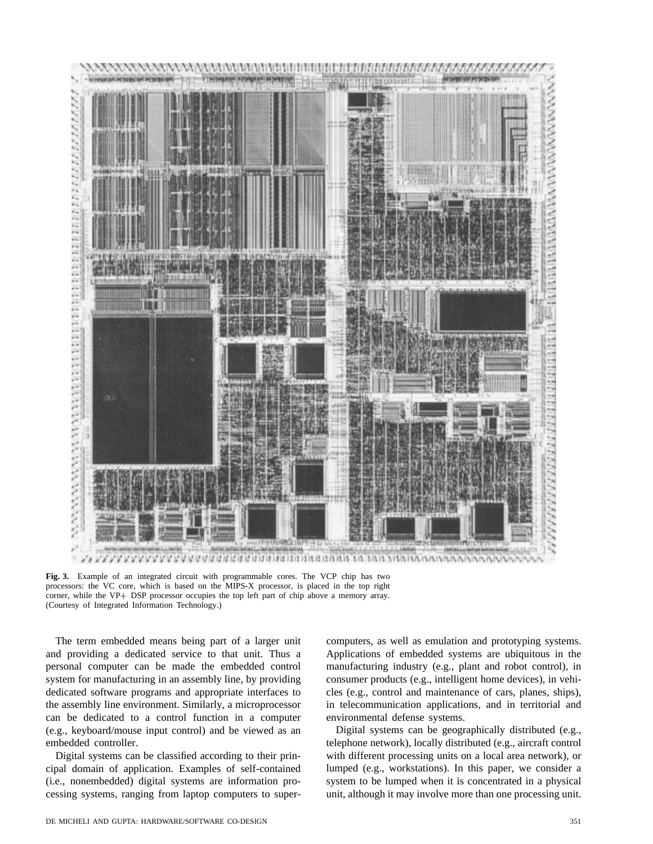

**Fig. 3.** Example of an integrated circuit with programmable cores. The VCP chip has two processors: the VC core, which is based on the MIPS-X processor, is placed in the top right corner, while the VP+ DSP processor occupies the top left part of chip above a memory array. (Courtesy of Integrated Information Technology.)

The term embedded means being part of a larger unit and providing a dedicated service to that unit. Thus a personal computer can be made the embedded control system for manufacturing in an assembly line, by providing dedicated software programs and appropriate interfaces to the assembly line environment. Similarly, a microprocessor can be dedicated to a control function in a computer (e.g., keyboard/mouse input control) and be viewed as an embedded controller.

Digital systems can be classified according to their principal domain of application. Examples of self-contained (i.e., nonembedded) digital systems are information processing systems, ranging from laptop computers to super-

computers, as well as emulation and prototyping systems. Applications of embedded systems are ubiquitous in the manufacturing industry (e.g., plant and robot control), in consumer products (e.g., intelligent home devices), in vehicles (e.g., control and maintenance of cars, planes, ships), in telecommunication applications, and in territorial and environmental defense systems.

Digital systems can be geographically distributed (e.g., telephone network), locally distributed (e.g., aircraft control with different processing units on a local area network), or lumped (e.g., workstations). In this paper, we consider a system to be lumped when it is concentrated in a physical unit, although it may involve more than one processing unit.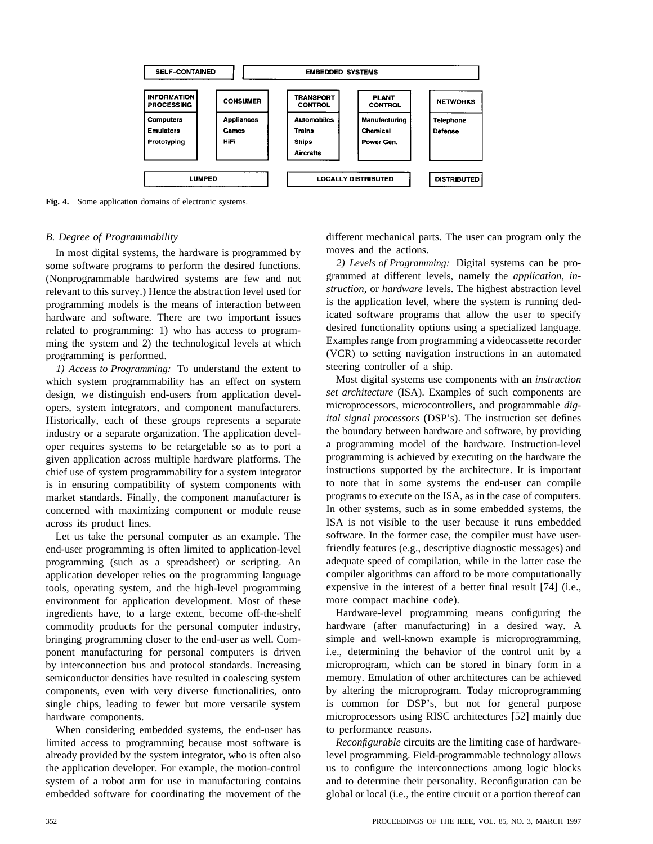

**Fig. 4.** Some application domains of electronic systems.

#### *B. Degree of Programmability*

In most digital systems, the hardware is programmed by some software programs to perform the desired functions. (Nonprogrammable hardwired systems are few and not relevant to this survey.) Hence the abstraction level used for programming models is the means of interaction between hardware and software. There are two important issues related to programming: 1) who has access to programming the system and 2) the technological levels at which programming is performed.

*1) Access to Programming:* To understand the extent to which system programmability has an effect on system design, we distinguish end-users from application developers, system integrators, and component manufacturers. Historically, each of these groups represents a separate industry or a separate organization. The application developer requires systems to be retargetable so as to port a given application across multiple hardware platforms. The chief use of system programmability for a system integrator is in ensuring compatibility of system components with market standards. Finally, the component manufacturer is concerned with maximizing component or module reuse across its product lines.

Let us take the personal computer as an example. The end-user programming is often limited to application-level programming (such as a spreadsheet) or scripting. An application developer relies on the programming language tools, operating system, and the high-level programming environment for application development. Most of these ingredients have, to a large extent, become off-the-shelf commodity products for the personal computer industry, bringing programming closer to the end-user as well. Component manufacturing for personal computers is driven by interconnection bus and protocol standards. Increasing semiconductor densities have resulted in coalescing system components, even with very diverse functionalities, onto single chips, leading to fewer but more versatile system hardware components.

When considering embedded systems, the end-user has limited access to programming because most software is already provided by the system integrator, who is often also the application developer. For example, the motion-control system of a robot arm for use in manufacturing contains embedded software for coordinating the movement of the different mechanical parts. The user can program only the moves and the actions.

*2) Levels of Programming:* Digital systems can be programmed at different levels, namely the *application*, *instruction*, or *hardware* levels. The highest abstraction level is the application level, where the system is running dedicated software programs that allow the user to specify desired functionality options using a specialized language. Examples range from programming a videocassette recorder (VCR) to setting navigation instructions in an automated steering controller of a ship.

Most digital systems use components with an *instruction set architecture* (ISA). Examples of such components are microprocessors, microcontrollers, and programmable *digital signal processors* (DSP's). The instruction set defines the boundary between hardware and software, by providing a programming model of the hardware. Instruction-level programming is achieved by executing on the hardware the instructions supported by the architecture. It is important to note that in some systems the end-user can compile programs to execute on the ISA, as in the case of computers. In other systems, such as in some embedded systems, the ISA is not visible to the user because it runs embedded software. In the former case, the compiler must have userfriendly features (e.g., descriptive diagnostic messages) and adequate speed of compilation, while in the latter case the compiler algorithms can afford to be more computationally expensive in the interest of a better final result [74] (i.e., more compact machine code).

Hardware-level programming means configuring the hardware (after manufacturing) in a desired way. A simple and well-known example is microprogramming, i.e., determining the behavior of the control unit by a microprogram, which can be stored in binary form in a memory. Emulation of other architectures can be achieved by altering the microprogram. Today microprogramming is common for DSP's, but not for general purpose microprocessors using RISC architectures [52] mainly due to performance reasons.

*Reconfigurable* circuits are the limiting case of hardwarelevel programming. Field-programmable technology allows us to configure the interconnections among logic blocks and to determine their personality. Reconfiguration can be global or local (i.e., the entire circuit or a portion thereof can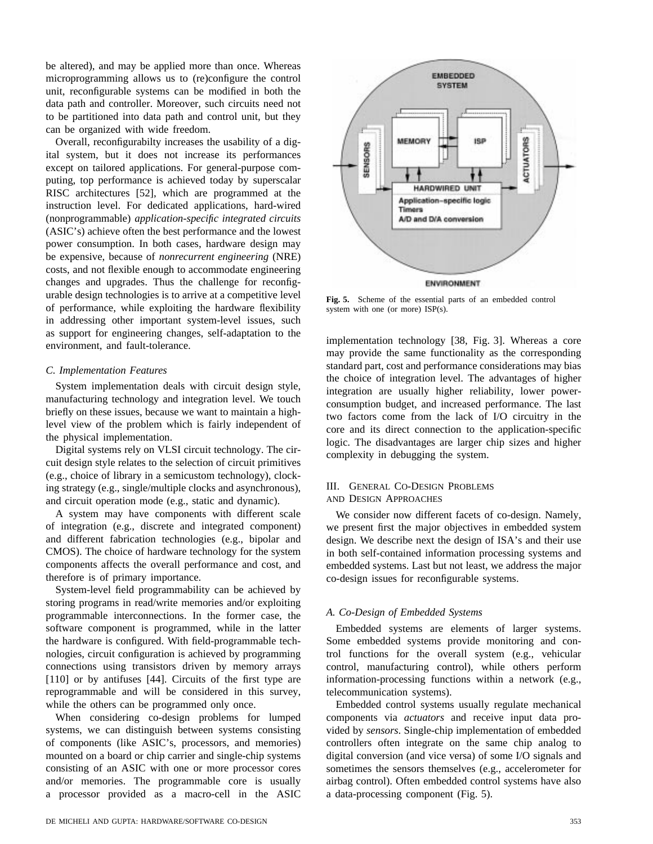be altered), and may be applied more than once. Whereas microprogramming allows us to (re)configure the control unit, reconfigurable systems can be modified in both the data path and controller. Moreover, such circuits need not to be partitioned into data path and control unit, but they can be organized with wide freedom.

Overall, reconfigurabilty increases the usability of a digital system, but it does not increase its performances except on tailored applications. For general-purpose computing, top performance is achieved today by superscalar RISC architectures [52], which are programmed at the instruction level. For dedicated applications, hard-wired (nonprogrammable) *application-specific integrated circuits* (ASIC's) achieve often the best performance and the lowest power consumption. In both cases, hardware design may be expensive, because of *nonrecurrent engineering* (NRE) costs, and not flexible enough to accommodate engineering changes and upgrades. Thus the challenge for reconfigurable design technologies is to arrive at a competitive level of performance, while exploiting the hardware flexibility in addressing other important system-level issues, such as support for engineering changes, self-adaptation to the environment, and fault-tolerance.

#### *C. Implementation Features*

System implementation deals with circuit design style, manufacturing technology and integration level. We touch briefly on these issues, because we want to maintain a highlevel view of the problem which is fairly independent of the physical implementation.

Digital systems rely on VLSI circuit technology. The circuit design style relates to the selection of circuit primitives (e.g., choice of library in a semicustom technology), clocking strategy (e.g., single/multiple clocks and asynchronous), and circuit operation mode (e.g., static and dynamic).

A system may have components with different scale of integration (e.g., discrete and integrated component) and different fabrication technologies (e.g., bipolar and CMOS). The choice of hardware technology for the system components affects the overall performance and cost, and therefore is of primary importance.

System-level field programmability can be achieved by storing programs in read/write memories and/or exploiting programmable interconnections. In the former case, the software component is programmed, while in the latter the hardware is configured. With field-programmable technologies, circuit configuration is achieved by programming connections using transistors driven by memory arrays [110] or by antifuses [44]. Circuits of the first type are reprogrammable and will be considered in this survey, while the others can be programmed only once.

When considering co-design problems for lumped systems, we can distinguish between systems consisting of components (like ASIC's, processors, and memories) mounted on a board or chip carrier and single-chip systems consisting of an ASIC with one or more processor cores and/or memories. The programmable core is usually a processor provided as a macro-cell in the ASIC



**Fig. 5.** Scheme of the essential parts of an embedded control system with one (or more) ISP(s).

implementation technology [38, Fig. 3]. Whereas a core may provide the same functionality as the corresponding standard part, cost and performance considerations may bias the choice of integration level. The advantages of higher integration are usually higher reliability, lower powerconsumption budget, and increased performance. The last two factors come from the lack of I/O circuitry in the core and its direct connection to the application-specific logic. The disadvantages are larger chip sizes and higher complexity in debugging the system.

## III. GENERAL CO-DESIGN PROBLEMS AND DESIGN APPROACHES

We consider now different facets of co-design. Namely, we present first the major objectives in embedded system design. We describe next the design of ISA's and their use in both self-contained information processing systems and embedded systems. Last but not least, we address the major co-design issues for reconfigurable systems.

#### *A. Co-Design of Embedded Systems*

Embedded systems are elements of larger systems. Some embedded systems provide monitoring and control functions for the overall system (e.g., vehicular control, manufacturing control), while others perform information-processing functions within a network (e.g., telecommunication systems).

Embedded control systems usually regulate mechanical components via *actuators* and receive input data provided by *sensors*. Single-chip implementation of embedded controllers often integrate on the same chip analog to digital conversion (and vice versa) of some I/O signals and sometimes the sensors themselves (e.g., accelerometer for airbag control). Often embedded control systems have also a data-processing component (Fig. 5).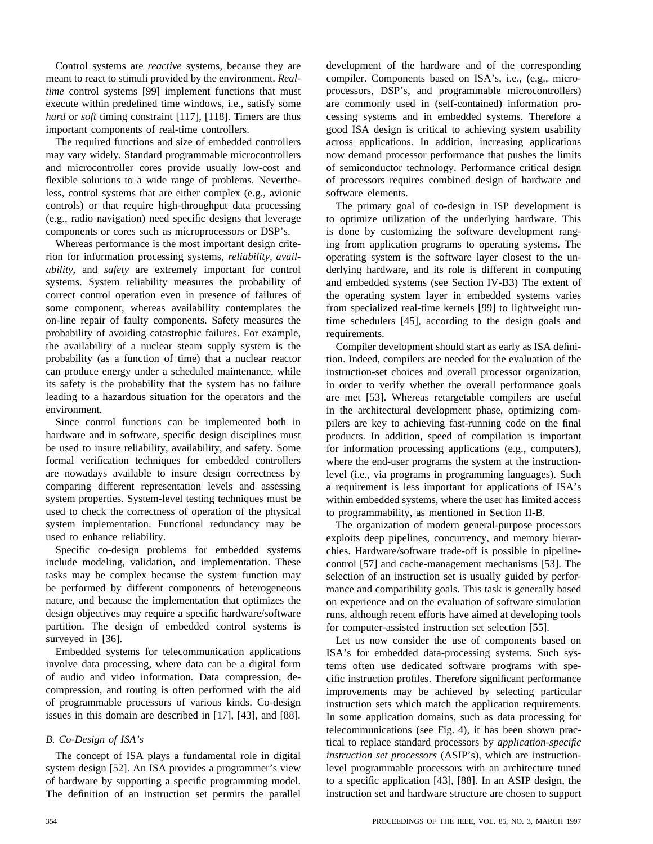Control systems are *reactive* systems, because they are meant to react to stimuli provided by the environment. *Realtime* control systems [99] implement functions that must execute within predefined time windows, i.e., satisfy some *hard* or *soft* timing constraint [117], [118]. Timers are thus important components of real-time controllers.

The required functions and size of embedded controllers may vary widely. Standard programmable microcontrollers and microcontroller cores provide usually low-cost and flexible solutions to a wide range of problems. Nevertheless, control systems that are either complex (e.g., avionic controls) or that require high-throughput data processing (e.g., radio navigation) need specific designs that leverage components or cores such as microprocessors or DSP's.

Whereas performance is the most important design criterion for information processing systems, *reliability, availability*, and *safety* are extremely important for control systems. System reliability measures the probability of correct control operation even in presence of failures of some component, whereas availability contemplates the on-line repair of faulty components. Safety measures the probability of avoiding catastrophic failures. For example, the availability of a nuclear steam supply system is the probability (as a function of time) that a nuclear reactor can produce energy under a scheduled maintenance, while its safety is the probability that the system has no failure leading to a hazardous situation for the operators and the environment.

Since control functions can be implemented both in hardware and in software, specific design disciplines must be used to insure reliability, availability, and safety. Some formal verification techniques for embedded controllers are nowadays available to insure design correctness by comparing different representation levels and assessing system properties. System-level testing techniques must be used to check the correctness of operation of the physical system implementation. Functional redundancy may be used to enhance reliability.

Specific co-design problems for embedded systems include modeling, validation, and implementation. These tasks may be complex because the system function may be performed by different components of heterogeneous nature, and because the implementation that optimizes the design objectives may require a specific hardware/software partition. The design of embedded control systems is surveyed in [36].

Embedded systems for telecommunication applications involve data processing, where data can be a digital form of audio and video information. Data compression, decompression, and routing is often performed with the aid of programmable processors of various kinds. Co-design issues in this domain are described in [17], [43], and [88].

## *B. Co-Design of ISA's*

The concept of ISA plays a fundamental role in digital system design [52]. An ISA provides a programmer's view of hardware by supporting a specific programming model. The definition of an instruction set permits the parallel development of the hardware and of the corresponding compiler. Components based on ISA's, i.e., (e.g., microprocessors, DSP's, and programmable microcontrollers) are commonly used in (self-contained) information processing systems and in embedded systems. Therefore a good ISA design is critical to achieving system usability across applications. In addition, increasing applications now demand processor performance that pushes the limits of semiconductor technology. Performance critical design of processors requires combined design of hardware and software elements.

The primary goal of co-design in ISP development is to optimize utilization of the underlying hardware. This is done by customizing the software development ranging from application programs to operating systems. The operating system is the software layer closest to the underlying hardware, and its role is different in computing and embedded systems (see Section IV-B3) The extent of the operating system layer in embedded systems varies from specialized real-time kernels [99] to lightweight runtime schedulers [45], according to the design goals and requirements.

Compiler development should start as early as ISA definition. Indeed, compilers are needed for the evaluation of the instruction-set choices and overall processor organization, in order to verify whether the overall performance goals are met [53]. Whereas retargetable compilers are useful in the architectural development phase, optimizing compilers are key to achieving fast-running code on the final products. In addition, speed of compilation is important for information processing applications (e.g., computers), where the end-user programs the system at the instructionlevel (i.e., via programs in programming languages). Such a requirement is less important for applications of ISA's within embedded systems, where the user has limited access to programmability, as mentioned in Section II-B.

The organization of modern general-purpose processors exploits deep pipelines, concurrency, and memory hierarchies. Hardware/software trade-off is possible in pipelinecontrol [57] and cache-management mechanisms [53]. The selection of an instruction set is usually guided by performance and compatibility goals. This task is generally based on experience and on the evaluation of software simulation runs, although recent efforts have aimed at developing tools for computer-assisted instruction set selection [55].

Let us now consider the use of components based on ISA's for embedded data-processing systems. Such systems often use dedicated software programs with specific instruction profiles. Therefore significant performance improvements may be achieved by selecting particular instruction sets which match the application requirements. In some application domains, such as data processing for telecommunications (see Fig. 4), it has been shown practical to replace standard processors by *application-specific instruction set processors* (ASIP's), which are instructionlevel programmable processors with an architecture tuned to a specific application [43], [88]. In an ASIP design, the instruction set and hardware structure are chosen to support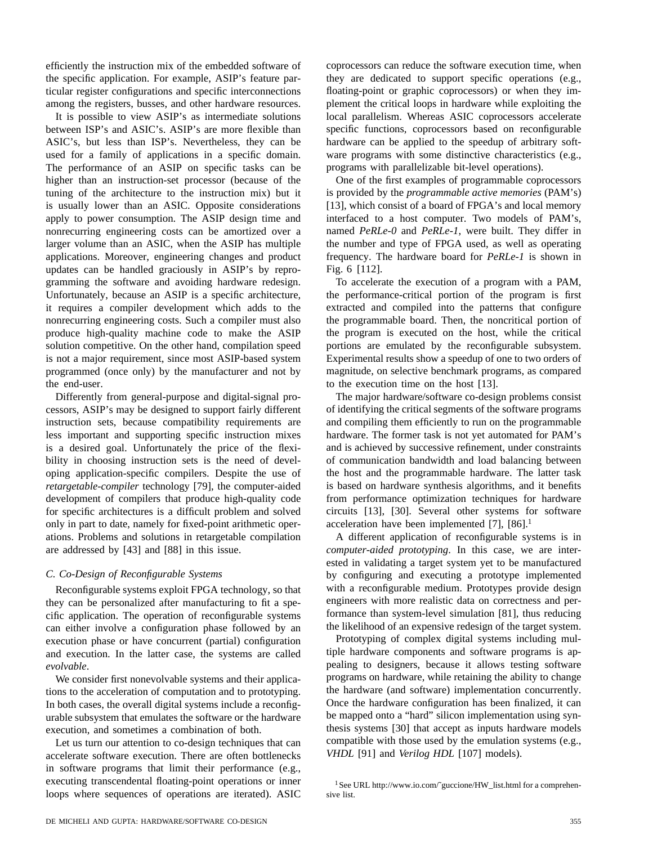efficiently the instruction mix of the embedded software of the specific application. For example, ASIP's feature particular register configurations and specific interconnections among the registers, busses, and other hardware resources.

It is possible to view ASIP's as intermediate solutions between ISP's and ASIC's. ASIP's are more flexible than ASIC's, but less than ISP's. Nevertheless, they can be used for a family of applications in a specific domain. The performance of an ASIP on specific tasks can be higher than an instruction-set processor (because of the tuning of the architecture to the instruction mix) but it is usually lower than an ASIC. Opposite considerations apply to power consumption. The ASIP design time and nonrecurring engineering costs can be amortized over a larger volume than an ASIC, when the ASIP has multiple applications. Moreover, engineering changes and product updates can be handled graciously in ASIP's by reprogramming the software and avoiding hardware redesign. Unfortunately, because an ASIP is a specific architecture, it requires a compiler development which adds to the nonrecurring engineering costs. Such a compiler must also produce high-quality machine code to make the ASIP solution competitive. On the other hand, compilation speed is not a major requirement, since most ASIP-based system programmed (once only) by the manufacturer and not by the end-user.

Differently from general-purpose and digital-signal processors, ASIP's may be designed to support fairly different instruction sets, because compatibility requirements are less important and supporting specific instruction mixes is a desired goal. Unfortunately the price of the flexibility in choosing instruction sets is the need of developing application-specific compilers. Despite the use of *retargetable-compiler* technology [79], the computer-aided development of compilers that produce high-quality code for specific architectures is a difficult problem and solved only in part to date, namely for fixed-point arithmetic operations. Problems and solutions in retargetable compilation are addressed by [43] and [88] in this issue.

## *C. Co-Design of Reconfigurable Systems*

Reconfigurable systems exploit FPGA technology, so that they can be personalized after manufacturing to fit a specific application. The operation of reconfigurable systems can either involve a configuration phase followed by an execution phase or have concurrent (partial) configuration and execution. In the latter case, the systems are called *evolvable*.

We consider first nonevolvable systems and their applications to the acceleration of computation and to prototyping. In both cases, the overall digital systems include a reconfigurable subsystem that emulates the software or the hardware execution, and sometimes a combination of both.

Let us turn our attention to co-design techniques that can accelerate software execution. There are often bottlenecks in software programs that limit their performance (e.g., executing transcendental floating-point operations or inner loops where sequences of operations are iterated). ASIC coprocessors can reduce the software execution time, when they are dedicated to support specific operations (e.g., floating-point or graphic coprocessors) or when they implement the critical loops in hardware while exploiting the local parallelism. Whereas ASIC coprocessors accelerate specific functions, coprocessors based on reconfigurable hardware can be applied to the speedup of arbitrary software programs with some distinctive characteristics (e.g., programs with parallelizable bit-level operations).

One of the first examples of programmable coprocessors is provided by the *programmable active memories* (PAM's) [13], which consist of a board of FPGA's and local memory interfaced to a host computer. Two models of PAM's, named *PeRLe-0* and *PeRLe-1*, were built. They differ in the number and type of FPGA used, as well as operating frequency. The hardware board for *PeRLe-1* is shown in Fig. 6 [112].

To accelerate the execution of a program with a PAM, the performance-critical portion of the program is first extracted and compiled into the patterns that configure the programmable board. Then, the noncritical portion of the program is executed on the host, while the critical portions are emulated by the reconfigurable subsystem. Experimental results show a speedup of one to two orders of magnitude, on selective benchmark programs, as compared to the execution time on the host [13].

The major hardware/software co-design problems consist of identifying the critical segments of the software programs and compiling them efficiently to run on the programmable hardware. The former task is not yet automated for PAM's and is achieved by successive refinement, under constraints of communication bandwidth and load balancing between the host and the programmable hardware. The latter task is based on hardware synthesis algorithms, and it benefits from performance optimization techniques for hardware circuits [13], [30]. Several other systems for software acceleration have been implemented  $[7]$ ,  $[86]$ .<sup>1</sup>

A different application of reconfigurable systems is in *computer-aided prototyping*. In this case, we are interested in validating a target system yet to be manufactured by configuring and executing a prototype implemented with a reconfigurable medium. Prototypes provide design engineers with more realistic data on correctness and performance than system-level simulation [81], thus reducing the likelihood of an expensive redesign of the target system.

Prototyping of complex digital systems including multiple hardware components and software programs is appealing to designers, because it allows testing software programs on hardware, while retaining the ability to change the hardware (and software) implementation concurrently. Once the hardware configuration has been finalized, it can be mapped onto a "hard" silicon implementation using synthesis systems [30] that accept as inputs hardware models compatible with those used by the emulation systems (e.g., *VHDL* [91] and *Verilog HDL* [107] models).

<sup>&</sup>lt;sup>1</sup> See URL http://www.io.com/~guccione/HW\_list.html for a comprehensive list.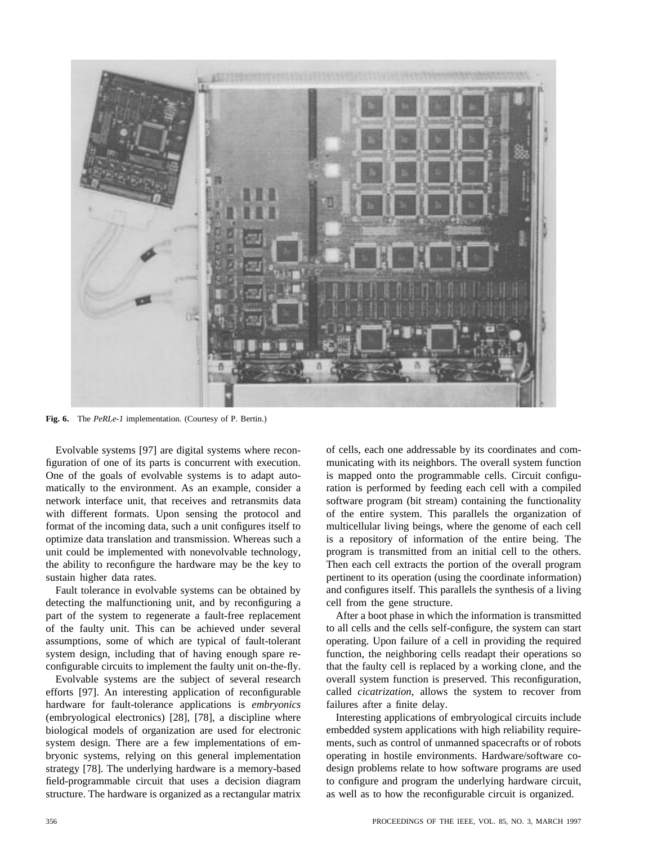

**Fig. 6.** The *PeRLe-1* implementation. (Courtesy of P. Bertin.)

Evolvable systems [97] are digital systems where reconfiguration of one of its parts is concurrent with execution. One of the goals of evolvable systems is to adapt automatically to the environment. As an example, consider a network interface unit, that receives and retransmits data with different formats. Upon sensing the protocol and format of the incoming data, such a unit configures itself to optimize data translation and transmission. Whereas such a unit could be implemented with nonevolvable technology, the ability to reconfigure the hardware may be the key to sustain higher data rates.

Fault tolerance in evolvable systems can be obtained by detecting the malfunctioning unit, and by reconfiguring a part of the system to regenerate a fault-free replacement of the faulty unit. This can be achieved under several assumptions, some of which are typical of fault-tolerant system design, including that of having enough spare reconfigurable circuits to implement the faulty unit on-the-fly.

Evolvable systems are the subject of several research efforts [97]. An interesting application of reconfigurable hardware for fault-tolerance applications is *embryonics* (embryological electronics) [28], [78], a discipline where biological models of organization are used for electronic system design. There are a few implementations of embryonic systems, relying on this general implementation strategy [78]. The underlying hardware is a memory-based field-programmable circuit that uses a decision diagram structure. The hardware is organized as a rectangular matrix of cells, each one addressable by its coordinates and communicating with its neighbors. The overall system function is mapped onto the programmable cells. Circuit configuration is performed by feeding each cell with a compiled software program (bit stream) containing the functionality of the entire system. This parallels the organization of multicellular living beings, where the genome of each cell is a repository of information of the entire being. The program is transmitted from an initial cell to the others. Then each cell extracts the portion of the overall program pertinent to its operation (using the coordinate information) and configures itself. This parallels the synthesis of a living cell from the gene structure.

After a boot phase in which the information is transmitted to all cells and the cells self-configure, the system can start operating. Upon failure of a cell in providing the required function, the neighboring cells readapt their operations so that the faulty cell is replaced by a working clone, and the overall system function is preserved. This reconfiguration, called *cicatrization*, allows the system to recover from failures after a finite delay.

Interesting applications of embryological circuits include embedded system applications with high reliability requirements, such as control of unmanned spacecrafts or of robots operating in hostile environments. Hardware/software codesign problems relate to how software programs are used to configure and program the underlying hardware circuit, as well as to how the reconfigurable circuit is organized.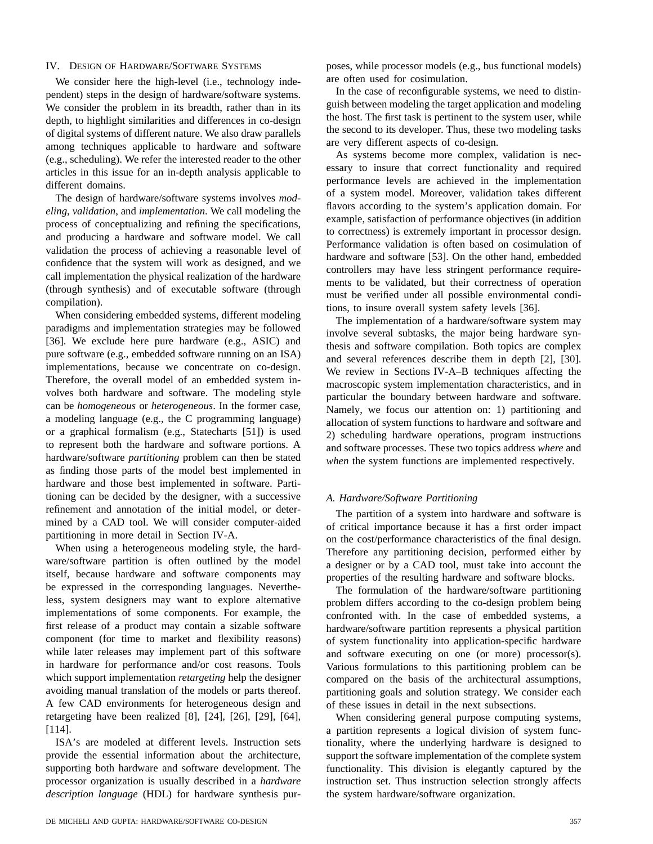#### IV. DESIGN OF HARDWARE/SOFTWARE SYSTEMS

We consider here the high-level (i.e., technology independent) steps in the design of hardware/software systems. We consider the problem in its breadth, rather than in its depth, to highlight similarities and differences in co-design of digital systems of different nature. We also draw parallels among techniques applicable to hardware and software (e.g., scheduling). We refer the interested reader to the other articles in this issue for an in-depth analysis applicable to different domains.

The design of hardware/software systems involves *modeling*, *validation*, and *implementation*. We call modeling the process of conceptualizing and refining the specifications, and producing a hardware and software model. We call validation the process of achieving a reasonable level of confidence that the system will work as designed, and we call implementation the physical realization of the hardware (through synthesis) and of executable software (through compilation).

When considering embedded systems, different modeling paradigms and implementation strategies may be followed [36]. We exclude here pure hardware (e.g., ASIC) and pure software (e.g., embedded software running on an ISA) implementations, because we concentrate on co-design. Therefore, the overall model of an embedded system involves both hardware and software. The modeling style can be *homogeneous* or *heterogeneous*. In the former case, a modeling language (e.g., the C programming language) or a graphical formalism (e.g., Statecharts [51]) is used to represent both the hardware and software portions. A hardware/software *partitioning* problem can then be stated as finding those parts of the model best implemented in hardware and those best implemented in software. Partitioning can be decided by the designer, with a successive refinement and annotation of the initial model, or determined by a CAD tool. We will consider computer-aided partitioning in more detail in Section IV-A.

When using a heterogeneous modeling style, the hardware/software partition is often outlined by the model itself, because hardware and software components may be expressed in the corresponding languages. Nevertheless, system designers may want to explore alternative implementations of some components. For example, the first release of a product may contain a sizable software component (for time to market and flexibility reasons) while later releases may implement part of this software in hardware for performance and/or cost reasons. Tools which support implementation *retargeting* help the designer avoiding manual translation of the models or parts thereof. A few CAD environments for heterogeneous design and retargeting have been realized [8], [24], [26], [29], [64], [114].

ISA's are modeled at different levels. Instruction sets provide the essential information about the architecture, supporting both hardware and software development. The processor organization is usually described in a *hardware description language* (HDL) for hardware synthesis purposes, while processor models (e.g., bus functional models) are often used for cosimulation.

In the case of reconfigurable systems, we need to distinguish between modeling the target application and modeling the host. The first task is pertinent to the system user, while the second to its developer. Thus, these two modeling tasks are very different aspects of co-design.

As systems become more complex, validation is necessary to insure that correct functionality and required performance levels are achieved in the implementation of a system model. Moreover, validation takes different flavors according to the system's application domain. For example, satisfaction of performance objectives (in addition to correctness) is extremely important in processor design. Performance validation is often based on cosimulation of hardware and software [53]. On the other hand, embedded controllers may have less stringent performance requirements to be validated, but their correctness of operation must be verified under all possible environmental conditions, to insure overall system safety levels [36].

The implementation of a hardware/software system may involve several subtasks, the major being hardware synthesis and software compilation. Both topics are complex and several references describe them in depth [2], [30]. We review in Sections IV-A–B techniques affecting the macroscopic system implementation characteristics, and in particular the boundary between hardware and software. Namely, we focus our attention on: 1) partitioning and allocation of system functions to hardware and software and 2) scheduling hardware operations, program instructions and software processes. These two topics address *where* and *when* the system functions are implemented respectively.

### *A. Hardware/Software Partitioning*

The partition of a system into hardware and software is of critical importance because it has a first order impact on the cost/performance characteristics of the final design. Therefore any partitioning decision, performed either by a designer or by a CAD tool, must take into account the properties of the resulting hardware and software blocks.

The formulation of the hardware/software partitioning problem differs according to the co-design problem being confronted with. In the case of embedded systems, a hardware/software partition represents a physical partition of system functionality into application-specific hardware and software executing on one (or more) processor(s). Various formulations to this partitioning problem can be compared on the basis of the architectural assumptions, partitioning goals and solution strategy. We consider each of these issues in detail in the next subsections.

When considering general purpose computing systems, a partition represents a logical division of system functionality, where the underlying hardware is designed to support the software implementation of the complete system functionality. This division is elegantly captured by the instruction set. Thus instruction selection strongly affects the system hardware/software organization.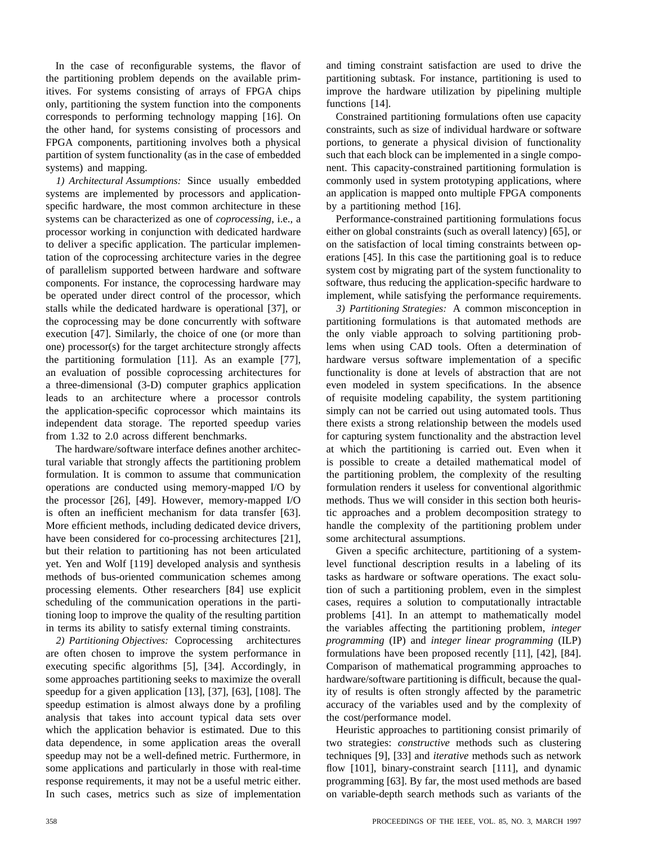In the case of reconfigurable systems, the flavor of the partitioning problem depends on the available primitives. For systems consisting of arrays of FPGA chips only, partitioning the system function into the components corresponds to performing technology mapping [16]. On the other hand, for systems consisting of processors and FPGA components, partitioning involves both a physical partition of system functionality (as in the case of embedded systems) and mapping.

*1) Architectural Assumptions:* Since usually embedded systems are implemented by processors and applicationspecific hardware, the most common architecture in these systems can be characterized as one of *coprocessing*, i.e., a processor working in conjunction with dedicated hardware to deliver a specific application. The particular implementation of the coprocessing architecture varies in the degree of parallelism supported between hardware and software components. For instance, the coprocessing hardware may be operated under direct control of the processor, which stalls while the dedicated hardware is operational [37], or the coprocessing may be done concurrently with software execution [47]. Similarly, the choice of one (or more than one) processor(s) for the target architecture strongly affects the partitioning formulation [11]. As an example [77], an evaluation of possible coprocessing architectures for a three-dimensional (3-D) computer graphics application leads to an architecture where a processor controls the application-specific coprocessor which maintains its independent data storage. The reported speedup varies from 1.32 to 2.0 across different benchmarks.

The hardware/software interface defines another architectural variable that strongly affects the partitioning problem formulation. It is common to assume that communication operations are conducted using memory-mapped I/O by the processor [26], [49]. However, memory-mapped I/O is often an inefficient mechanism for data transfer [63]. More efficient methods, including dedicated device drivers, have been considered for co-processing architectures [21], but their relation to partitioning has not been articulated yet. Yen and Wolf [119] developed analysis and synthesis methods of bus-oriented communication schemes among processing elements. Other researchers [84] use explicit scheduling of the communication operations in the partitioning loop to improve the quality of the resulting partition in terms its ability to satisfy external timing constraints.

*2) Partitioning Objectives:* Coprocessing architectures are often chosen to improve the system performance in executing specific algorithms [5], [34]. Accordingly, in some approaches partitioning seeks to maximize the overall speedup for a given application [13], [37], [63], [108]. The speedup estimation is almost always done by a profiling analysis that takes into account typical data sets over which the application behavior is estimated. Due to this data dependence, in some application areas the overall speedup may not be a well-defined metric. Furthermore, in some applications and particularly in those with real-time response requirements, it may not be a useful metric either. In such cases, metrics such as size of implementation and timing constraint satisfaction are used to drive the partitioning subtask. For instance, partitioning is used to improve the hardware utilization by pipelining multiple functions [14].

Constrained partitioning formulations often use capacity constraints, such as size of individual hardware or software portions, to generate a physical division of functionality such that each block can be implemented in a single component. This capacity-constrained partitioning formulation is commonly used in system prototyping applications, where an application is mapped onto multiple FPGA components by a partitioning method [16].

Performance-constrained partitioning formulations focus either on global constraints (such as overall latency) [65], or on the satisfaction of local timing constraints between operations [45]. In this case the partitioning goal is to reduce system cost by migrating part of the system functionality to software, thus reducing the application-specific hardware to implement, while satisfying the performance requirements.

*3) Partitioning Strategies:* A common misconception in partitioning formulations is that automated methods are the only viable approach to solving partitioning problems when using CAD tools. Often a determination of hardware versus software implementation of a specific functionality is done at levels of abstraction that are not even modeled in system specifications. In the absence of requisite modeling capability, the system partitioning simply can not be carried out using automated tools. Thus there exists a strong relationship between the models used for capturing system functionality and the abstraction level at which the partitioning is carried out. Even when it is possible to create a detailed mathematical model of the partitioning problem, the complexity of the resulting formulation renders it useless for conventional algorithmic methods. Thus we will consider in this section both heuristic approaches and a problem decomposition strategy to handle the complexity of the partitioning problem under some architectural assumptions.

Given a specific architecture, partitioning of a systemlevel functional description results in a labeling of its tasks as hardware or software operations. The exact solution of such a partitioning problem, even in the simplest cases, requires a solution to computationally intractable problems [41]. In an attempt to mathematically model the variables affecting the partitioning problem, *integer programming* (IP) and *integer linear programming* (ILP) formulations have been proposed recently [11], [42], [84]. Comparison of mathematical programming approaches to hardware/software partitioning is difficult, because the quality of results is often strongly affected by the parametric accuracy of the variables used and by the complexity of the cost/performance model.

Heuristic approaches to partitioning consist primarily of two strategies: *constructive* methods such as clustering techniques [9], [33] and *iterative* methods such as network flow [101], binary-constraint search [111], and dynamic programming [63]. By far, the most used methods are based on variable-depth search methods such as variants of the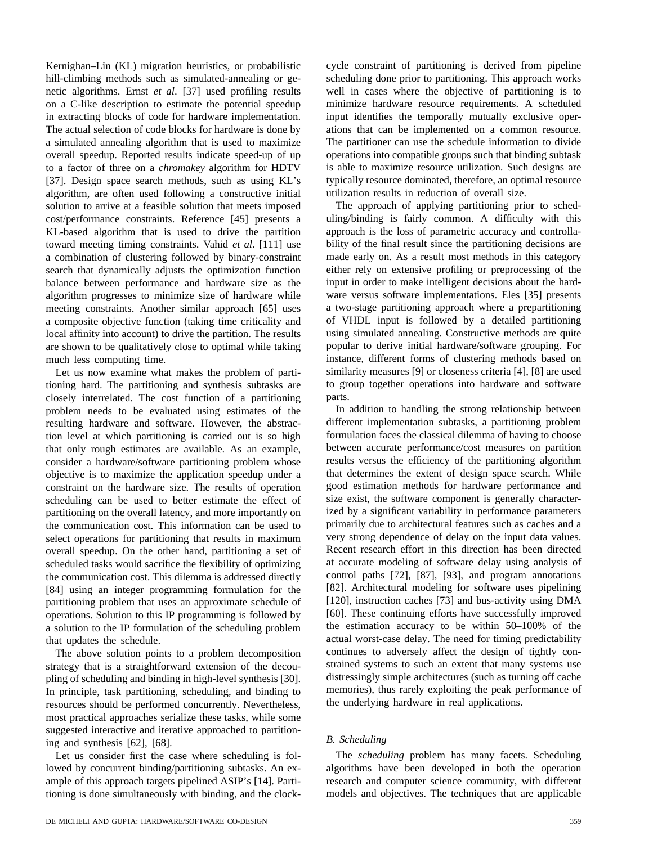Kernighan–Lin (KL) migration heuristics, or probabilistic hill-climbing methods such as simulated-annealing or genetic algorithms. Ernst *et al*. [37] used profiling results on a C-like description to estimate the potential speedup in extracting blocks of code for hardware implementation. The actual selection of code blocks for hardware is done by a simulated annealing algorithm that is used to maximize overall speedup. Reported results indicate speed-up of up to a factor of three on a *chromakey* algorithm for HDTV [37]. Design space search methods, such as using KL's algorithm, are often used following a constructive initial solution to arrive at a feasible solution that meets imposed cost/performance constraints. Reference [45] presents a KL-based algorithm that is used to drive the partition toward meeting timing constraints. Vahid *et al*. [111] use a combination of clustering followed by binary-constraint search that dynamically adjusts the optimization function balance between performance and hardware size as the algorithm progresses to minimize size of hardware while meeting constraints. Another similar approach [65] uses a composite objective function (taking time criticality and local affinity into account) to drive the partition. The results are shown to be qualitatively close to optimal while taking much less computing time.

Let us now examine what makes the problem of partitioning hard. The partitioning and synthesis subtasks are closely interrelated. The cost function of a partitioning problem needs to be evaluated using estimates of the resulting hardware and software. However, the abstraction level at which partitioning is carried out is so high that only rough estimates are available. As an example, consider a hardware/software partitioning problem whose objective is to maximize the application speedup under a constraint on the hardware size. The results of operation scheduling can be used to better estimate the effect of partitioning on the overall latency, and more importantly on the communication cost. This information can be used to select operations for partitioning that results in maximum overall speedup. On the other hand, partitioning a set of scheduled tasks would sacrifice the flexibility of optimizing the communication cost. This dilemma is addressed directly [84] using an integer programming formulation for the partitioning problem that uses an approximate schedule of operations. Solution to this IP programming is followed by a solution to the IP formulation of the scheduling problem that updates the schedule.

The above solution points to a problem decomposition strategy that is a straightforward extension of the decoupling of scheduling and binding in high-level synthesis [30]. In principle, task partitioning, scheduling, and binding to resources should be performed concurrently. Nevertheless, most practical approaches serialize these tasks, while some suggested interactive and iterative approached to partitioning and synthesis [62], [68].

Let us consider first the case where scheduling is followed by concurrent binding/partitioning subtasks. An example of this approach targets pipelined ASIP's [14]. Partitioning is done simultaneously with binding, and the clockcycle constraint of partitioning is derived from pipeline scheduling done prior to partitioning. This approach works well in cases where the objective of partitioning is to minimize hardware resource requirements. A scheduled input identifies the temporally mutually exclusive operations that can be implemented on a common resource. The partitioner can use the schedule information to divide operations into compatible groups such that binding subtask is able to maximize resource utilization. Such designs are typically resource dominated, therefore, an optimal resource utilization results in reduction of overall size.

The approach of applying partitioning prior to scheduling/binding is fairly common. A difficulty with this approach is the loss of parametric accuracy and controllability of the final result since the partitioning decisions are made early on. As a result most methods in this category either rely on extensive profiling or preprocessing of the input in order to make intelligent decisions about the hardware versus software implementations. Eles [35] presents a two-stage partitioning approach where a prepartitioning of VHDL input is followed by a detailed partitioning using simulated annealing. Constructive methods are quite popular to derive initial hardware/software grouping. For instance, different forms of clustering methods based on similarity measures [9] or closeness criteria [4], [8] are used to group together operations into hardware and software parts.

In addition to handling the strong relationship between different implementation subtasks, a partitioning problem formulation faces the classical dilemma of having to choose between accurate performance/cost measures on partition results versus the efficiency of the partitioning algorithm that determines the extent of design space search. While good estimation methods for hardware performance and size exist, the software component is generally characterized by a significant variability in performance parameters primarily due to architectural features such as caches and a very strong dependence of delay on the input data values. Recent research effort in this direction has been directed at accurate modeling of software delay using analysis of control paths [72], [87], [93], and program annotations [82]. Architectural modeling for software uses pipelining [120], instruction caches [73] and bus-activity using DMA [60]. These continuing efforts have successfully improved the estimation accuracy to be within 50–100% of the actual worst-case delay. The need for timing predictability continues to adversely affect the design of tightly constrained systems to such an extent that many systems use distressingly simple architectures (such as turning off cache memories), thus rarely exploiting the peak performance of the underlying hardware in real applications.

## *B. Scheduling*

The *scheduling* problem has many facets. Scheduling algorithms have been developed in both the operation research and computer science community, with different models and objectives. The techniques that are applicable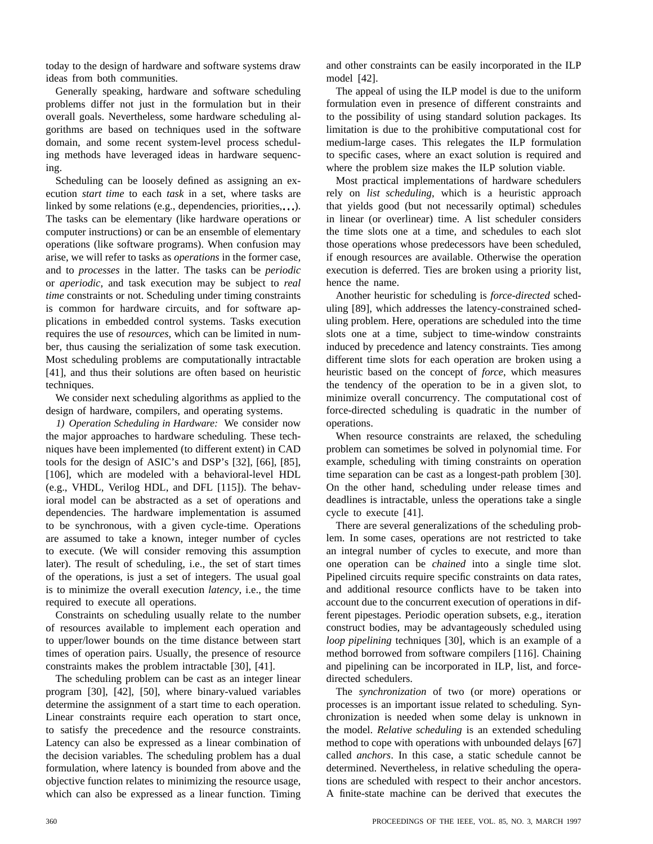today to the design of hardware and software systems draw ideas from both communities.

Generally speaking, hardware and software scheduling problems differ not just in the formulation but in their overall goals. Nevertheless, some hardware scheduling algorithms are based on techniques used in the software domain, and some recent system-level process scheduling methods have leveraged ideas in hardware sequencing.

Scheduling can be loosely defined as assigning an execution *start time* to each *task* in a set, where tasks are linked by some relations (e.g., dependencies, priorities,  $\dots$ ). The tasks can be elementary (like hardware operations or computer instructions) or can be an ensemble of elementary operations (like software programs). When confusion may arise, we will refer to tasks as *operations* in the former case, and to *processes* in the latter. The tasks can be *periodic* or *aperiodic*, and task execution may be subject to *real time* constraints or not. Scheduling under timing constraints is common for hardware circuits, and for software applications in embedded control systems. Tasks execution requires the use of *resources*, which can be limited in number, thus causing the serialization of some task execution. Most scheduling problems are computationally intractable [41], and thus their solutions are often based on heuristic techniques.

We consider next scheduling algorithms as applied to the design of hardware, compilers, and operating systems.

*1) Operation Scheduling in Hardware:* We consider now the major approaches to hardware scheduling. These techniques have been implemented (to different extent) in CAD tools for the design of ASIC's and DSP's [32], [66], [85], [106], which are modeled with a behavioral-level HDL (e.g., VHDL, Verilog HDL, and DFL [115]). The behavioral model can be abstracted as a set of operations and dependencies. The hardware implementation is assumed to be synchronous, with a given cycle-time. Operations are assumed to take a known, integer number of cycles to execute. (We will consider removing this assumption later). The result of scheduling, i.e., the set of start times of the operations, is just a set of integers. The usual goal is to minimize the overall execution *latency*, i.e., the time required to execute all operations.

Constraints on scheduling usually relate to the number of resources available to implement each operation and to upper/lower bounds on the time distance between start times of operation pairs. Usually, the presence of resource constraints makes the problem intractable [30], [41].

The scheduling problem can be cast as an integer linear program [30], [42], [50], where binary-valued variables determine the assignment of a start time to each operation. Linear constraints require each operation to start once, to satisfy the precedence and the resource constraints. Latency can also be expressed as a linear combination of the decision variables. The scheduling problem has a dual formulation, where latency is bounded from above and the objective function relates to minimizing the resource usage, which can also be expressed as a linear function. Timing and other constraints can be easily incorporated in the ILP model [42].

The appeal of using the ILP model is due to the uniform formulation even in presence of different constraints and to the possibility of using standard solution packages. Its limitation is due to the prohibitive computational cost for medium-large cases. This relegates the ILP formulation to specific cases, where an exact solution is required and where the problem size makes the ILP solution viable.

Most practical implementations of hardware schedulers rely on *list scheduling*, which is a heuristic approach that yields good (but not necessarily optimal) schedules in linear (or overlinear) time. A list scheduler considers the time slots one at a time, and schedules to each slot those operations whose predecessors have been scheduled, if enough resources are available. Otherwise the operation execution is deferred. Ties are broken using a priority list, hence the name.

Another heuristic for scheduling is *force-directed* scheduling [89], which addresses the latency-constrained scheduling problem. Here, operations are scheduled into the time slots one at a time, subject to time-window constraints induced by precedence and latency constraints. Ties among different time slots for each operation are broken using a heuristic based on the concept of *force*, which measures the tendency of the operation to be in a given slot, to minimize overall concurrency. The computational cost of force-directed scheduling is quadratic in the number of operations.

When resource constraints are relaxed, the scheduling problem can sometimes be solved in polynomial time. For example, scheduling with timing constraints on operation time separation can be cast as a longest-path problem [30]. On the other hand, scheduling under release times and deadlines is intractable, unless the operations take a single cycle to execute [41].

There are several generalizations of the scheduling problem. In some cases, operations are not restricted to take an integral number of cycles to execute, and more than one operation can be *chained* into a single time slot. Pipelined circuits require specific constraints on data rates, and additional resource conflicts have to be taken into account due to the concurrent execution of operations in different pipestages. Periodic operation subsets, e.g., iteration construct bodies, may be advantageously scheduled using *loop pipelining* techniques [30], which is an example of a method borrowed from software compilers [116]. Chaining and pipelining can be incorporated in ILP, list, and forcedirected schedulers.

The *synchronization* of two (or more) operations or processes is an important issue related to scheduling. Synchronization is needed when some delay is unknown in the model. *Relative scheduling* is an extended scheduling method to cope with operations with unbounded delays [67] called *anchors*. In this case, a static schedule cannot be determined. Nevertheless, in relative scheduling the operations are scheduled with respect to their anchor ancestors. A finite-state machine can be derived that executes the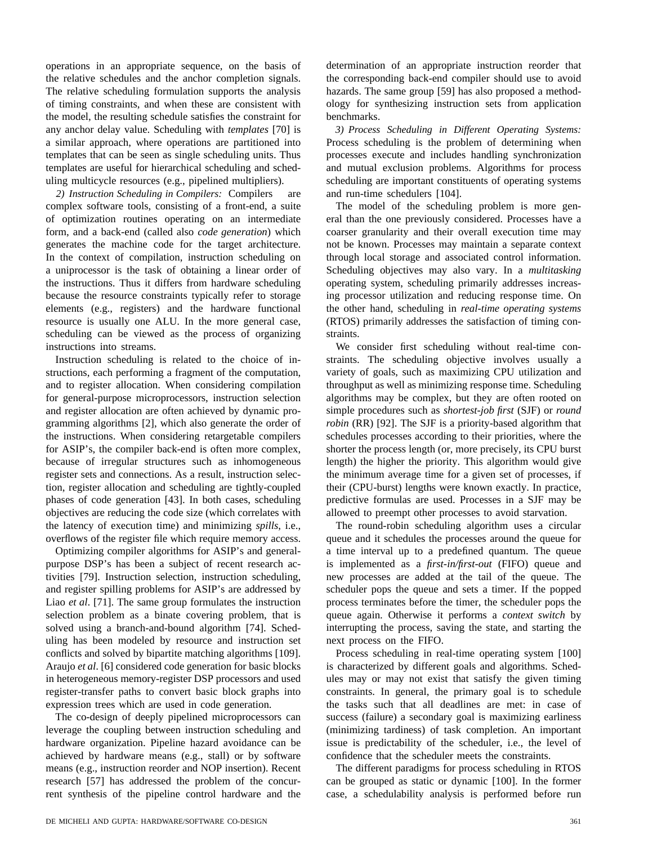operations in an appropriate sequence, on the basis of the relative schedules and the anchor completion signals. The relative scheduling formulation supports the analysis of timing constraints, and when these are consistent with the model, the resulting schedule satisfies the constraint for any anchor delay value. Scheduling with *templates* [70] is a similar approach, where operations are partitioned into templates that can be seen as single scheduling units. Thus templates are useful for hierarchical scheduling and scheduling multicycle resources (e.g., pipelined multipliers).

*2) Instruction Scheduling in Compilers:* Compilers are complex software tools, consisting of a front-end, a suite of optimization routines operating on an intermediate form, and a back-end (called also *code generation*) which generates the machine code for the target architecture. In the context of compilation, instruction scheduling on a uniprocessor is the task of obtaining a linear order of the instructions. Thus it differs from hardware scheduling because the resource constraints typically refer to storage elements (e.g., registers) and the hardware functional resource is usually one ALU. In the more general case, scheduling can be viewed as the process of organizing instructions into streams.

Instruction scheduling is related to the choice of instructions, each performing a fragment of the computation, and to register allocation. When considering compilation for general-purpose microprocessors, instruction selection and register allocation are often achieved by dynamic programming algorithms [2], which also generate the order of the instructions. When considering retargetable compilers for ASIP's, the compiler back-end is often more complex, because of irregular structures such as inhomogeneous register sets and connections. As a result, instruction selection, register allocation and scheduling are tightly-coupled phases of code generation [43]. In both cases, scheduling objectives are reducing the code size (which correlates with the latency of execution time) and minimizing *spills*, i.e., overflows of the register file which require memory access.

Optimizing compiler algorithms for ASIP's and generalpurpose DSP's has been a subject of recent research activities [79]. Instruction selection, instruction scheduling, and register spilling problems for ASIP's are addressed by Liao *et al*. [71]. The same group formulates the instruction selection problem as a binate covering problem, that is solved using a branch-and-bound algorithm [74]. Scheduling has been modeled by resource and instruction set conflicts and solved by bipartite matching algorithms [109]. Araujo *et al*. [6] considered code generation for basic blocks in heterogeneous memory-register DSP processors and used register-transfer paths to convert basic block graphs into expression trees which are used in code generation.

The co-design of deeply pipelined microprocessors can leverage the coupling between instruction scheduling and hardware organization. Pipeline hazard avoidance can be achieved by hardware means (e.g., stall) or by software means (e.g., instruction reorder and NOP insertion). Recent research [57] has addressed the problem of the concurrent synthesis of the pipeline control hardware and the determination of an appropriate instruction reorder that the corresponding back-end compiler should use to avoid hazards. The same group [59] has also proposed a methodology for synthesizing instruction sets from application benchmarks.

*3) Process Scheduling in Different Operating Systems:* Process scheduling is the problem of determining when processes execute and includes handling synchronization and mutual exclusion problems. Algorithms for process scheduling are important constituents of operating systems and run-time schedulers [104].

The model of the scheduling problem is more general than the one previously considered. Processes have a coarser granularity and their overall execution time may not be known. Processes may maintain a separate context through local storage and associated control information. Scheduling objectives may also vary. In a *multitasking* operating system, scheduling primarily addresses increasing processor utilization and reducing response time. On the other hand, scheduling in *real-time operating systems* (RTOS) primarily addresses the satisfaction of timing constraints.

We consider first scheduling without real-time constraints. The scheduling objective involves usually a variety of goals, such as maximizing CPU utilization and throughput as well as minimizing response time. Scheduling algorithms may be complex, but they are often rooted on simple procedures such as *shortest-job first* (SJF) or *round robin* (RR) [92]. The SJF is a priority-based algorithm that schedules processes according to their priorities, where the shorter the process length (or, more precisely, its CPU burst length) the higher the priority. This algorithm would give the minimum average time for a given set of processes, if their (CPU-burst) lengths were known exactly. In practice, predictive formulas are used. Processes in a SJF may be allowed to preempt other processes to avoid starvation.

The round-robin scheduling algorithm uses a circular queue and it schedules the processes around the queue for a time interval up to a predefined quantum. The queue is implemented as a *first-in/first-out* (FIFO) queue and new processes are added at the tail of the queue. The scheduler pops the queue and sets a timer. If the popped process terminates before the timer, the scheduler pops the queue again. Otherwise it performs a *context switch* by interrupting the process, saving the state, and starting the next process on the FIFO.

Process scheduling in real-time operating system [100] is characterized by different goals and algorithms. Schedules may or may not exist that satisfy the given timing constraints. In general, the primary goal is to schedule the tasks such that all deadlines are met: in case of success (failure) a secondary goal is maximizing earliness (minimizing tardiness) of task completion. An important issue is predictability of the scheduler, i.e., the level of confidence that the scheduler meets the constraints.

The different paradigms for process scheduling in RTOS can be grouped as static or dynamic [100]. In the former case, a schedulability analysis is performed before run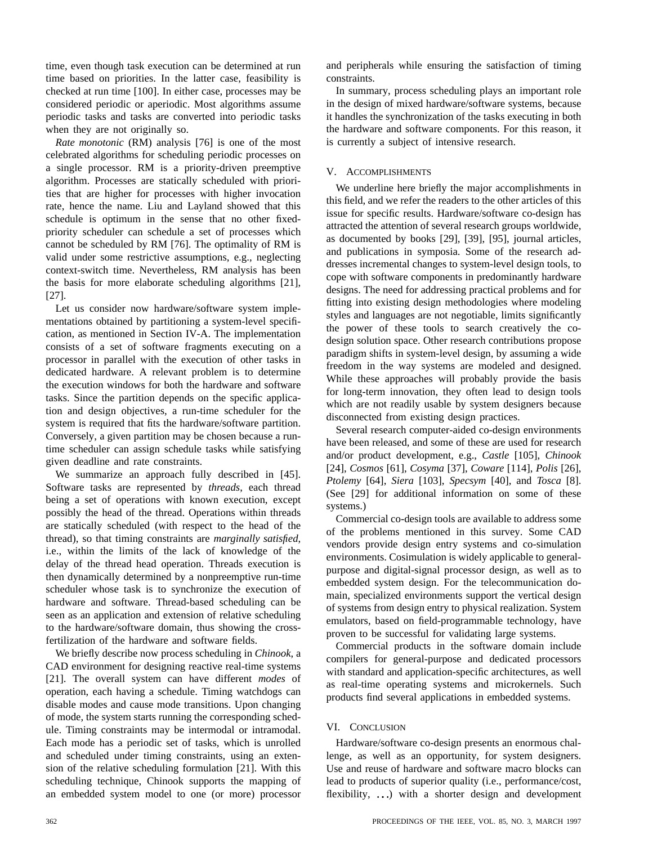time, even though task execution can be determined at run time based on priorities. In the latter case, feasibility is checked at run time [100]. In either case, processes may be considered periodic or aperiodic. Most algorithms assume periodic tasks and tasks are converted into periodic tasks when they are not originally so.

*Rate monotonic* (RM) analysis [76] is one of the most celebrated algorithms for scheduling periodic processes on a single processor. RM is a priority-driven preemptive algorithm. Processes are statically scheduled with priorities that are higher for processes with higher invocation rate, hence the name. Liu and Layland showed that this schedule is optimum in the sense that no other fixedpriority scheduler can schedule a set of processes which cannot be scheduled by RM [76]. The optimality of RM is valid under some restrictive assumptions, e.g., neglecting context-switch time. Nevertheless, RM analysis has been the basis for more elaborate scheduling algorithms [21], [27].

Let us consider now hardware/software system implementations obtained by partitioning a system-level specification, as mentioned in Section IV-A. The implementation consists of a set of software fragments executing on a processor in parallel with the execution of other tasks in dedicated hardware. A relevant problem is to determine the execution windows for both the hardware and software tasks. Since the partition depends on the specific application and design objectives, a run-time scheduler for the system is required that fits the hardware/software partition. Conversely, a given partition may be chosen because a runtime scheduler can assign schedule tasks while satisfying given deadline and rate constraints.

We summarize an approach fully described in [45]. Software tasks are represented by *threads*, each thread being a set of operations with known execution, except possibly the head of the thread. Operations within threads are statically scheduled (with respect to the head of the thread), so that timing constraints are *marginally satisfied*, i.e., within the limits of the lack of knowledge of the delay of the thread head operation. Threads execution is then dynamically determined by a nonpreemptive run-time scheduler whose task is to synchronize the execution of hardware and software. Thread-based scheduling can be seen as an application and extension of relative scheduling to the hardware/software domain, thus showing the crossfertilization of the hardware and software fields.

We briefly describe now process scheduling in *Chinook*, a CAD environment for designing reactive real-time systems [21]. The overall system can have different *modes* of operation, each having a schedule. Timing watchdogs can disable modes and cause mode transitions. Upon changing of mode, the system starts running the corresponding schedule. Timing constraints may be intermodal or intramodal. Each mode has a periodic set of tasks, which is unrolled and scheduled under timing constraints, using an extension of the relative scheduling formulation [21]. With this scheduling technique, Chinook supports the mapping of an embedded system model to one (or more) processor and peripherals while ensuring the satisfaction of timing constraints.

In summary, process scheduling plays an important role in the design of mixed hardware/software systems, because it handles the synchronization of the tasks executing in both the hardware and software components. For this reason, it is currently a subject of intensive research.

## V. ACCOMPLISHMENTS

We underline here briefly the major accomplishments in this field, and we refer the readers to the other articles of this issue for specific results. Hardware/software co-design has attracted the attention of several research groups worldwide, as documented by books [29], [39], [95], journal articles, and publications in symposia. Some of the research addresses incremental changes to system-level design tools, to cope with software components in predominantly hardware designs. The need for addressing practical problems and for fitting into existing design methodologies where modeling styles and languages are not negotiable, limits significantly the power of these tools to search creatively the codesign solution space. Other research contributions propose paradigm shifts in system-level design, by assuming a wide freedom in the way systems are modeled and designed. While these approaches will probably provide the basis for long-term innovation, they often lead to design tools which are not readily usable by system designers because disconnected from existing design practices.

Several research computer-aided co-design environments have been released, and some of these are used for research and/or product development, e.g., *Castle* [105], *Chinook* [24], *Cosmos* [61], *Cosyma* [37], *Coware* [114], *Polis* [26], *Ptolemy* [64], *Siera* [103], *Specsym* [40], and *Tosca* [8]. (See [29] for additional information on some of these systems.)

Commercial co-design tools are available to address some of the problems mentioned in this survey. Some CAD vendors provide design entry systems and co-simulation environments. Cosimulation is widely applicable to generalpurpose and digital-signal processor design, as well as to embedded system design. For the telecommunication domain, specialized environments support the vertical design of systems from design entry to physical realization. System emulators, based on field-programmable technology, have proven to be successful for validating large systems.

Commercial products in the software domain include compilers for general-purpose and dedicated processors with standard and application-specific architectures, as well as real-time operating systems and microkernels. Such products find several applications in embedded systems.

## VI. CONCLUSION

Hardware/software co-design presents an enormous challenge, as well as an opportunity, for system designers. Use and reuse of hardware and software macro blocks can lead to products of superior quality (i.e., performance/cost, flexibility,  $\ldots$ ) with a shorter design and development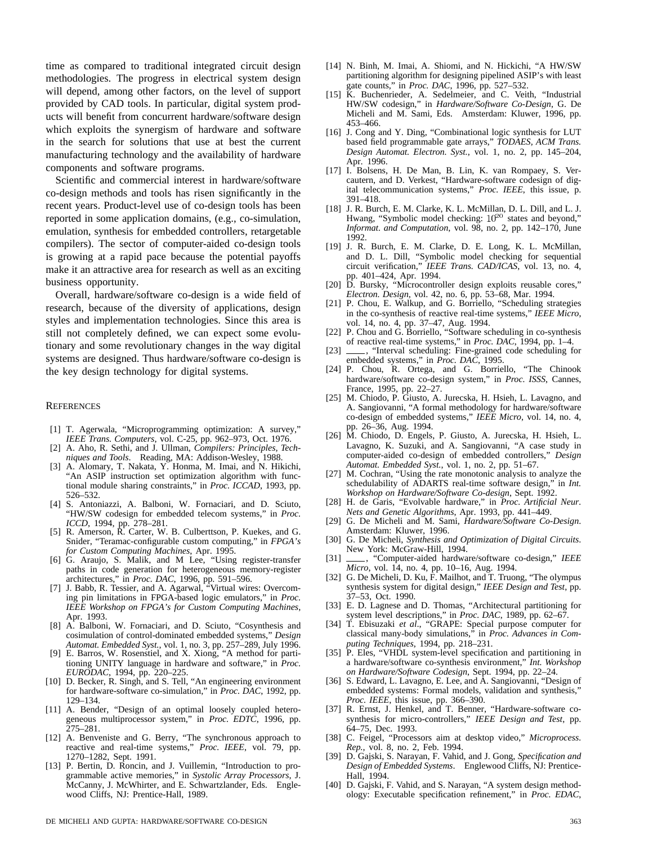time as compared to traditional integrated circuit design methodologies. The progress in electrical system design will depend, among other factors, on the level of support provided by CAD tools. In particular, digital system products will benefit from concurrent hardware/software design which exploits the synergism of hardware and software in the search for solutions that use at best the current manufacturing technology and the availability of hardware components and software programs.

Scientific and commercial interest in hardware/software co-design methods and tools has risen significantly in the recent years. Product-level use of co-design tools has been reported in some application domains, (e.g., co-simulation, emulation, synthesis for embedded controllers, retargetable compilers). The sector of computer-aided co-design tools is growing at a rapid pace because the potential payoffs make it an attractive area for research as well as an exciting business opportunity.

Overall, hardware/software co-design is a wide field of research, because of the diversity of applications, design styles and implementation technologies. Since this area is still not completely defined, we can expect some evolutionary and some revolutionary changes in the way digital systems are designed. Thus hardware/software co-design is the key design technology for digital systems.

#### **REFERENCES**

- [1] T. Agerwala, "Microprogramming optimization: A survey," *IEEE Trans. Computers*, vol. C-25, pp. 962–973, Oct. 1976.
- [2] A. Aho, R. Sethi, and J. Ullman, *Compilers: Principles, Techniques and Tools*. Reading, MA: Addison-Wesley, 1988.
- [3] A. Alomary, T. Nakata, Y. Honma, M. Imai, and N. Hikichi, "An ASIP instruction set optimization algorithm with functional module sharing constraints," in *Proc. ICCAD*, 1993, pp. 526–532.
- [4] S. Antoniazzi, A. Balboni, W. Fornaciari, and D. Sciuto, "HW/SW codesign for embedded telecom systems," in *Proc. ICCD*, 1994, pp. 278–281.
- [5] R. Amerson, R. Carter, W. B. Culberttson, P. Kuekes, and G. Snider, "Teramac-configurable custom computing," in *FPGA's for Custom Computing Machines*, Apr. 1995.
- [6] G. Araujo, S. Malik, and M Lee, "Using register-transfer paths in code generation for heterogeneous memory-register architectures," in *Proc. DAC*, 1996, pp. 591–596.
- [7] J. Babb, R. Tessier, and A. Agarwal, "Virtual wires: Overcoming pin limitations in FPGA-based logic emulators," in *Proc. IEEE Workshop on FPGA's for Custom Computing Machines*, Apr. 1993.
- [8] A. Balboni, W. Fornaciari, and D. Sciuto, "Cosynthesis and cosimulation of control-dominated embedded systems," *Design Automat. Embedded Syst.*, vol. 1, no. 3, pp. 257–289, July 1996.
- [9] E. Barros, W. Rosenstiel, and X. Xiong, "A method for partitioning UNITY language in hardware and software," in *Proc. EURODAC*, 1994, pp. 220–225.
- [10] D. Becker, R. Singh, and S. Tell, "An engineering environment for hardware-software co-simulation," in *Proc. DAC*, 1992, pp. 129–134.
- [11] A. Bender, "Design of an optimal loosely coupled heterogeneous multiprocessor system," in *Proc. EDTC*, 1996, pp. 275–281.
- [12] A. Benveniste and G. Berry, "The synchronous approach to reactive and real-time systems," *Proc. IEEE*, vol. 79, pp. 1270–1282, Sept. 1991.
- [13] P. Bertin, D. Roncin, and J. Vuillemin, "Introduction to programmable active memories," in *Systolic Array Processors*, J. McCanny, J. McWhirter, and E. Schwartzlander, Eds. Englewood Cliffs, NJ: Prentice-Hall, 1989.
- [14] N. Binh, M. Imai, A. Shiomi, and N. Hickichi, "A HW/SW partitioning algorithm for designing pipelined ASIP's with least gate counts," in *Proc. DAC*, 1996, pp. 527–532.
- [15] K. Buchenrieder, A. Sedelmeier, and C. Veith, "Industrial HW/SW codesign," in *Hardware/Software Co-Design*, G. De Micheli and M. Sami, Eds. Amsterdam: Kluwer, 1996, pp. 453–466.
- [16] J. Cong and Y. Ding, "Combinational logic synthesis for LUT based field programmable gate arrays," *TODAES, ACM Trans. Design Automat. Electron. Syst.*, vol. 1, no. 2, pp. 145–204, Apr. 1996.
- [17] I. Bolsens, H. De Man, B. Lin, K. van Rompaey, S. Vercautern, and D. Verkest, "Hardware-software codesign of digital telecommunication systems," *Proc. IEEE*, this issue, p. 391–418.
- [18] J. R. Burch, E. M. Clarke, K. L. McMillan, D. L. Dill, and L. J.<br>Hwang, "Symbolic model checking:  $10^{20}$  states and beyond," *Informat. and Computation*, vol. 98, no. 2, pp. 142–170, June 1992.
- [19] J. R. Burch, E. M. Clarke, D. E. Long, K. L. McMillan, and D. L. Dill, "Symbolic model checking for sequential circuit verification," *IEEE Trans. CAD/ICAS*, vol. 13, no. 4, pp. 401–424, Apr. 1994.
- [20] D. Bursky, "Microcontroller design exploits reusable cores," *Electron. Design*, vol. 42, no. 6, pp. 53–68, Mar. 1994.
- [21] P. Chou, E. Walkup, and G. Borriello, "Scheduling strategies in the co-synthesis of reactive real-time systems," *IEEE Micro*, vol. 14, no. 4, pp. 37–47, Aug. 1994.
- [22] P. Chou and G. Borriello, "Software scheduling in co-synthesis of reactive real-time systems," in *Proc. DAC*, 1994, pp. 1–4.
- [23]  $\_\_\_\$ , "Interval scheduling: Fine-grained code scheduling for embedded systems," in *Proc. DAC*, 1995.
- [24] P. Chou, R. Ortega, and G. Borriello, "The Chinook hardware/software co-design system," in *Proc. ISSS*, Cannes, France, 1995, pp. 22–27.
- [25] M. Chiodo, P. Giusto, A. Jurecska, H. Hsieh, L. Lavagno, and A. Sangiovanni, "A formal methodology for hardware/software co-design of embedded systems," *IEEE Micro*, vol. 14, no. 4, 26–36, Aug. 1994.
- [26] M. Chiodo, D. Engels, P. Giusto, A. Jurecska, H. Hsieh, L. Lavagno, K. Suzuki, and A. Sangiovanni, "A case study in computer-aided co-design of embedded controllers," *Design Automat. Embedded Syst.*, vol. 1, no. 2, pp. 51–67.
- [27] M. Cochran, "Using the rate monotonic analysis to analyze the schedulability of ADARTS real-time software design," in *Int. Workshop on Hardware/Software Co-design*, Sept. 1992.
- [28] H. de Garis, "Evolvable hardware," in *Proc. Artificial Neur. Nets and Genetic Algorithms*, Apr. 1993, pp. 441–449.
- [29] G. De Micheli and M. Sami, *Hardware/Software Co-Design*. Amsterdam: Kluwer, 1996.
- [30] G. De Micheli, *Synthesis and Optimization of Digital Circuits*. New York: McGraw-Hill, 1994.
- [31] , "Computer-aided hardware/software co-design," *IEEE Micro*, vol. 14, no. 4, pp. 10–16, Aug. 1994.
- [32] G. De Micheli, D. Ku, F. Mailhot, and T. Truong, "The olympus synthesis system for digital design," *IEEE Design and Test*, pp. 37–53, Oct. 1990.
- [33] E. D. Lagnese and D. Thomas, "Architectural partitioning for system level descriptions," in *Proc. DAC*, 1989, pp. 62–67.
- [34] T. Ebisuzaki *et al*., "GRAPE: Special purpose computer for classical many-body simulations," in *Proc. Advances in Computing Techniques*, 1994, pp. 218–231.
- [35] P. Eles, "VHDL system-level specification and partitioning in a hardware/software co-synthesis environment," *Int. Workshop on Hardware/Software Codesign*, Sept. 1994, pp. 22–24.
- [36] S. Edward, L. Lavagno, E. Lee, and A. Sangiovanni, "Design of embedded systems: Formal models, validation and synthesis," *Proc. IEEE*, this issue, pp. 366–390.
- [37] R. Ernst, J. Henkel, and T. Benner, "Hardware-software cosynthesis for micro-controllers," *IEEE Design and Test*, pp. 64–75, Dec. 1993.
- [38] C. Feigel, "Processors aim at desktop video," *Microprocess. Rep.*, vol. 8, no. 2, Feb. 1994.
- [39] D. Gajski, S. Narayan, F. Vahid, and J. Gong, *Specification and Design of Embedded Systems*. Englewood Cliffs, NJ: Prentice-Hall, 1994.
- [40] D. Gajski, F. Vahid, and S. Narayan, "A system design methodology: Executable specification refinement," in *Proc. EDAC*,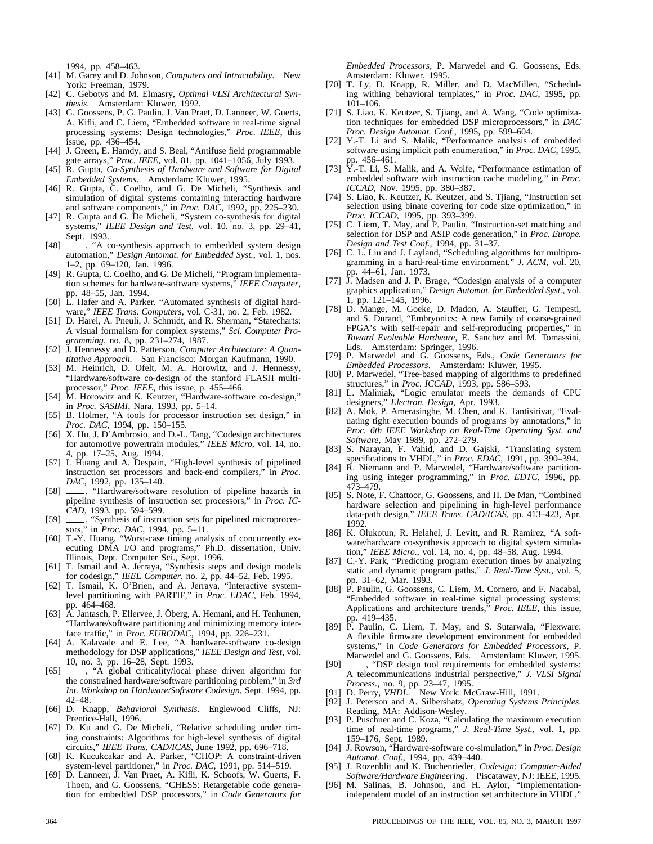1994, pp. 458–463.

- [41] M. Garey and D. Johnson, *Computers and Intractability*. New York: Freeman, 1979.
- [42] C. Gebotys and M. Elmasry, *Optimal VLSI Architectural Synthesis*. Amsterdam: Kluwer, 1992.
- [43] G. Goossens, P. G. Paulin, J. Van Praet, D. Lanneer, W. Guerts, A. Kifli, and C. Liem, "Embedded software in real-time signal processing systems: Design technologies," *Proc. IEEE*, this issue, pp. 436–454.
- [44] J. Green, E. Hamdy, and S. Beal, "Antifuse field programmable gate arrays," *Proc. IEEE*, vol. 81, pp. 1041–1056, July 1993.
- [45] R. Gupta, *Co-Synthesis of Hardware and Software for Digital Embedded Systems*. Amsterdam: Kluwer, 1995.
- [46] R. Gupta, C. Coelho, and G. De Micheli, "Synthesis and simulation of digital systems containing interacting hardware and software components," in *Proc. DAC*, 1992, pp. 225–230.
- [47] R. Gupta and G. De Micheli, "System co-synthesis for digital systems," *IEEE Design and Test*, vol. 10, no. 3, pp. 29–41, Sept. 1993.
- [48]  $\_\_\_\$ , "A co-synthesis approach to embedded system design automation," *Design Automat. for Embedded Syst.*, vol. 1, nos. 1–2, pp. 69–120, Jan. 1996.
- [49] R. Gupta, C. Coelho, and G. De Micheli, "Program implementation schemes for hardware-software systems," *IEEE Computer*, pp. 48–55, Jan. 1994.
- [50] L. Hafer and A. Parker, "Automated synthesis of digital hardware," *IEEE Trans. Computers*, vol. C-31, no. 2, Feb. 1982.
- [51] D. Harel, A. Pneuli, J. Schmidt, and R. Sherman, "Statecharts: A visual formalism for complex systems," *Sci. Computer Programming*, no. 8, pp. 231–274, 1987.
- [52] J. Hennessy and D. Patterson, *Computer Architecture: A Quantitative Approach*. San Francisco: Morgan Kaufmann, 1990.
- [53] M. Heinrich, D. Ofelt, M. A. Horowitz, and J. Hennessy, "Hardware/software co-design of the stanford FLASH multiprocessor," *Proc. IEEE*, this issue, p. 455–466.
- [54] M. Horowitz and K. Keutzer, "Hardware-software co-design," in *Proc. SASIMI*, Nara, 1993, pp. 5–14.
- [55] B. Holmer, "A tools for processor instruction set design," in *Proc. DAC*, 1994, pp. 150–155.
- [56] X. Hu, J. D'Ambrosio, and D.-L. Tang, "Codesign architectures for automotive powertrain modules," *IEEE Micro*, vol. 14, no. 4, pp. 17–25, Aug. 1994.
- [57] I. Huang and A. Despain, "High-level synthesis of pipelined instruction set processors and back-end compilers," in *Proc. DAC*, 1992, pp. 135–140.
- [58]  $\_\_\_\$ , "Hardware/software resolution of pipeline hazards in pipeline synthesis of instruction set processors," in *Proc. IC-CAD*, 1993, pp. 594–599.
- [59]  $\_\_\_\$ , "Synthesis of instruction sets for pipelined microprocessors," in *Proc. DAC*, 1994, pp. 5–11.
- [60] T.-Y. Huang, "Worst-case timing analysis of concurrently executing DMA I/O and programs," Ph.D. dissertation, Univ. Illinois, Dept. Computer Sci., Sept. 1996.
- [61] T. Ismail and A. Jerraya, "Synthesis steps and design models for codesign," *IEEE Computer*, no. 2, pp. 44–52, Feb. 1995.
- [62] T. Ismail, K. O'Brien, and A. Jerraya, "Interactive systemlevel partitioning with PARTIF," in *Proc. EDAC*, Feb. 1994, pp. 464–468.
- [63] A. Jantasch, P. Ellervee, J. Öberg, A. Hemani, and H. Tenhunen, "Hardware/software partitioning and minimizing memory interface traffic," in *Proc. EURODAC*, 1994, pp. 226–231.
- [64] A. Kalavade and E. Lee, "A hardware-software co-design methodology for DSP applications," *IEEE Design and Test*, vol. 10, no. 3, pp. 16–28, Sept. 1993.
- [65]  $\_\_\_\$ , "A global criticality/local phase driven algorithm for the constrained hardware/software partitioning problem," in *3rd Int. Workshop on Hardware/Software Codesign*, Sept. 1994, pp. 42–48.
- [66] D. Knapp, *Behavioral Synthesis*. Englewood Cliffs, NJ: Prentice-Hall, 1996.
- [67] D. Ku and G. De Micheli, "Relative scheduling under timing constraints: Algorithms for high-level synthesis of digital circuits," *IEEE Trans. CAD/ICAS*, June 1992, pp. 696–718.
- [68] K. Kucukcakar and A. Parker, "CHOP: A constraint-driven system-level partitioner," in *Proc. DAC*, 1991, pp. 514–519.
- [69] D. Lanneer, J. Van Praet, A. Kifli, K. Schoofs, W. Guerts, F. Thoen, and G. Goossens, "CHESS: Retargetable code generation for embedded DSP processors," in *Code Generators for*

*Embedded Processors*, P. Marwedel and G. Goossens, Eds. Amsterdam: Kluwer, 1995.

- [70] T. Ly, D. Knapp, R. Miller, and D. MacMillen, "Scheduling withing behavioral templates," in *Proc. DAC*, 1995, pp. 101–106.
- [71] S. Liao, K. Keutzer, S. Tjiang, and A. Wang, "Code optimization techniques for embedded DSP microprocessors," in *DAC Proc. Design Automat. Conf.*, 1995, pp. 599–604.
- [72] Y.-T. Li and S. Malik, "Performance analysis of embedded software using implicit path enumeration," in *Proc. DAC*, 1995, pp. 456–461.
- [73] Y.-T. Li, S. Malik, and A. Wolfe, "Performance estimation of embedded software with instruction cache modeling," in *Proc. ICCAD*, Nov. 1995, pp. 380–387.
- [74] S. Liao, K. Keutzer, K. Keutzer, and S. Tjiang, "Instruction set selection using binate covering for code size optimization," in *Proc. ICCAD*, 1995, pp. 393–399.
- [75] C. Liem, T. May, and P. Paulin, "Instruction-set matching and selection for DSP and ASIP code generation," in *Proc. Europe. Design and Test Conf.*, 1994, pp. 31–37.
- [76] C. L. Liu and J. Layland, "Scheduling algorithms for multiprogramming in a hard-real-time environment," *J. ACM*, vol. 20, pp. 44–61, Jan. 1973.
- [77] J. Madsen and J. P. Brage, "Codesign analysis of a computer graphics application," *Design Automat. for Embedded Syst.*, vol. 1, pp. 121–145, 1996.
- [78] D. Mange, M. Goeke, D. Madon, A. Stauffer, G. Tempesti, and S. Durand, "Embryonics: A new family of coarse-grained FPGA's with self-repair and self-reproducing properties," in *Toward Evolvable Hardware*, E. Sanchez and M. Tomassini, Eds. Amsterdam: Springer, 1996.
- [79] P. Marwedel and G. Goossens, Eds., *Code Generators for Embedded Processors*. Amsterdam: Kluwer, 1995.
- [80] P. Marwedel, "Tree-based mapping of algorithms to predefined structures," in *Proc. ICCAD*, 1993, pp. 586–593.
- [81] L. Maliniak, "Logic emulator meets the demands of CPU designers," *Electron. Design*, Apr. 1993.
- [82] A. Mok, P. Amerasinghe, M. Chen, and K. Tantisirivat, "Evaluating tight execution bounds of programs by annotations," in *Proc. 6th IEEE Workshop on Real-Time Operating Syst. and Software*, May 1989, pp. 272–279.
- [83] S. Narayan, F. Vahid, and D. Gajski, "Translating system specifications to VHDL," in *Proc. EDAC*, 1991, pp. 390–394.
- [84] R. Niemann and P. Marwedel, "Hardware/software partitioning using integer programming," in *Proc. EDTC*, 1996, pp. 473–479.
- [85] S. Note, F. Chattoor, G. Goossens, and H. De Man, "Combined hardware selection and pipelining in high-level performance data-path design," *IEEE Trans. CAD/ICAS*, pp. 413–423, Apr. 1992.
- [86] K. Olukotun, R. Helahel, J. Levitt, and R. Ramirez, "A software/hardware co-synthesis approach to digital system simulation," *IEEE Micro.*, vol. 14, no. 4, pp. 48–58, Aug. 1994.
- [87] C.-Y. Park, "Predicting program execution times by analyzing static and dynamic program paths," *J. Real-Time Syst.*, vol. 5, pp. 31–62, Mar. 1993.
- [88] P. Paulin, G. Goossens, C. Liem, M. Cornero, and F. Nacabal, "Embedded software in real-time signal processing systems: Applications and architecture trends," *Proc. IEEE*, this issue, pp. 419–435.
- [89] P. Paulin, C. Liem, T. May, and S. Sutarwala, "Flexware: A flexible firmware development environment for embedded systems," in *Code Generators for Embedded Processors*, P. Marwedel and G. Goossens, Eds. Amsterdam: Kluwer, 1995.
- [90] \_\_\_\_\_, "DSP design tool requirements for embedded systems: A telecommunications industrial perspective," *J. VLSI Signal Process.*, no. 9, pp. 23–47, 1995.
- [91] D. Perry, *VHDL*. New York: McGraw-Hill, 1991.
- [92] J. Peterson and A. Silbershatz, *Operating Systems Principles*. Reading, MA: Addison-Wesley.
- [93] P. Puschner and C. Koza, "Calculating the maximum execution time of real-time programs," *J. Real-Time Syst.*, vol. 1, pp. 159–176, Sept. 1989.
- [94] J. Rowson, "Hardware-software co-simulation," in *Proc. Design Automat. Conf.*, 1994, pp. 439–440.
- [95] J. Rozenblit and K. Buchenrieder, *Codesign: Computer-Aided Software/Hardware Engineering*. Piscataway, NJ: IEEE, 1995.
- [96] M. Salinas, B. Johnson, and H. Aylor, "Implementationindependent model of an instruction set architecture in VHDL,"